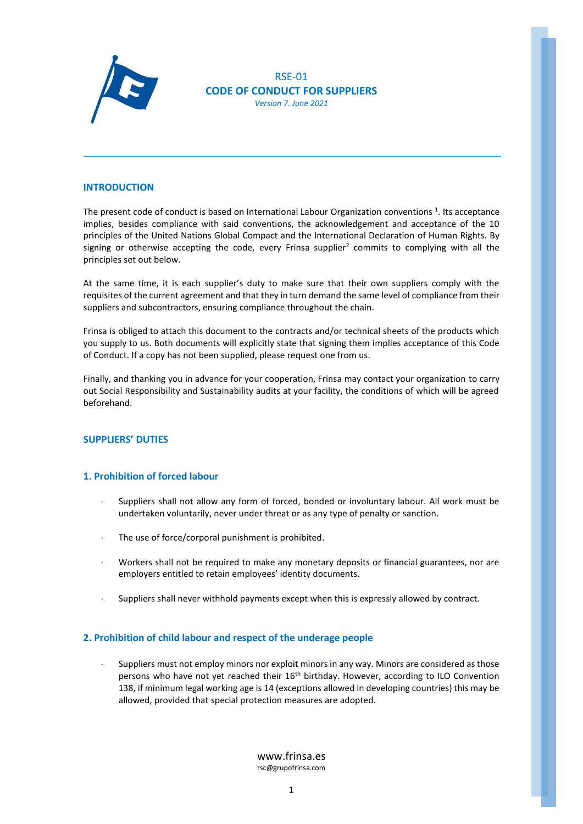

RSE-01 **CODE OF CONDUCT FOR SUPPLIERS** *Version 7. June 2021*

### **INTRODUCTION**

The present code of conduct is based on International Labour Organization conventions<sup>1</sup>. Its acceptance implies, besides compliance with said conventions, the acknowledgement and acceptance of the 10 principles of the United Nations Global Compact and the International Declaration of Human Rights. By signing or otherwise accepting the code, every Frinsa supplier<sup>2</sup> commits to complying with all the principles set out below.

At the same time, it is each supplier's duty to make sure that their own suppliers comply with the requisites of the current agreement and that they in turn demand the same level of compliance from their suppliers and subcontractors, ensuring compliance throughout the chain.

Frinsa is obliged to attach this document to the contracts and/or technical sheets of the products which you supply to us. Both documents will explicitly state that signing them implies acceptance of this Code of Conduct. If a copy has not been supplied, please request one from us.

Finally, and thanking you in advance for your cooperation, Frinsa may contact your organization to carry out Social Responsibility and Sustainability audits at your facility, the conditions of which will be agreed beforehand.

## **SUPPLIERS' DUTIES**

#### **1. Prohibition of forced labour**

- Suppliers shall not allow any form of forced, bonded or involuntary labour. All work must be undertaken voluntarily, never under threat or as any type of penalty or sanction.
- The use of force/corporal punishment is prohibited.
- Workers shall not be required to make any monetary deposits or financial guarantees, nor are employers entitled to retain employees' identity documents.
- Suppliers shall never withhold payments except when this is expressly allowed by contract.

# **2. Prohibition of child labour and respect of the underage people**

 Suppliers must not employ minors nor exploit minors in any way. Minors are considered as those persons who have not yet reached their 16<sup>th</sup> birthday. However, according to ILO Convention 138, if minimum legal working age is 14 (exceptions allowed in developing countries) this may be allowed, provided that special protection measures are adopted.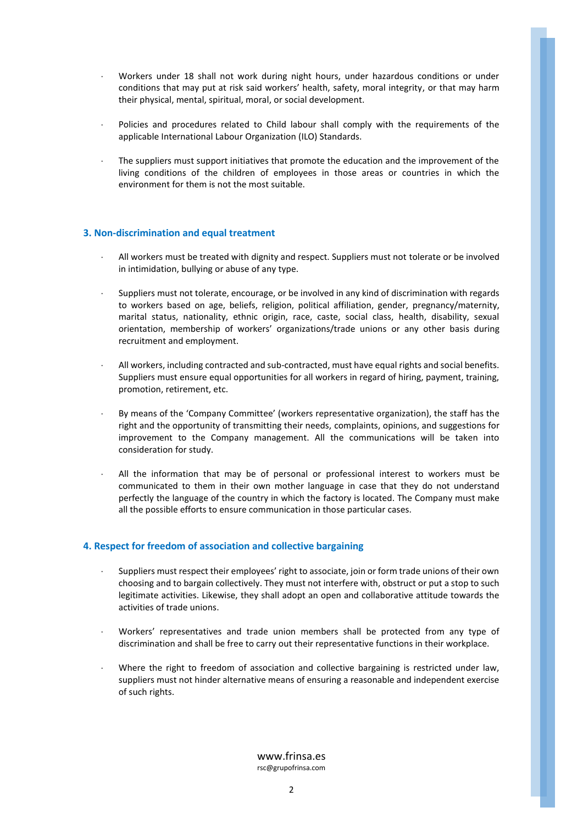- Workers under 18 shall not work during night hours, under hazardous conditions or under conditions that may put at risk said workers' health, safety, moral integrity, or that may harm their physical, mental, spiritual, moral, or social development.
- Policies and procedures related to Child labour shall comply with the requirements of the applicable International Labour Organization (ILO) Standards.
- The suppliers must support initiatives that promote the education and the improvement of the living conditions of the children of employees in those areas or countries in which the environment for them is not the most suitable.

## **3. Non-discrimination and equal treatment**

- All workers must be treated with dignity and respect. Suppliers must not tolerate or be involved in intimidation, bullying or abuse of any type.
- Suppliers must not tolerate, encourage, or be involved in any kind of discrimination with regards to workers based on age, beliefs, religion, political affiliation, gender, pregnancy/maternity, marital status, nationality, ethnic origin, race, caste, social class, health, disability, sexual orientation, membership of workers' organizations/trade unions or any other basis during recruitment and employment.
- All workers, including contracted and sub-contracted, must have equal rights and social benefits. Suppliers must ensure equal opportunities for all workers in regard of hiring, payment, training, promotion, retirement, etc.
- By means of the 'Company Committee' (workers representative organization), the staff has the right and the opportunity of transmitting their needs, complaints, opinions, and suggestions for improvement to the Company management. All the communications will be taken into consideration for study.
- All the information that may be of personal or professional interest to workers must be communicated to them in their own mother language in case that they do not understand perfectly the language of the country in which the factory is located. The Company must make all the possible efforts to ensure communication in those particular cases.

# **4. Respect for freedom of association and collective bargaining**

- Suppliers must respect their employees' right to associate, join or form trade unions of their own choosing and to bargain collectively. They must not interfere with, obstruct or put a stop to such legitimate activities. Likewise, they shall adopt an open and collaborative attitude towards the activities of trade unions.
- Workers' representatives and trade union members shall be protected from any type of discrimination and shall be free to carry out their representative functions in their workplace.
- Where the right to freedom of association and collective bargaining is restricted under law, suppliers must not hinder alternative means of ensuring a reasonable and independent exercise of such rights.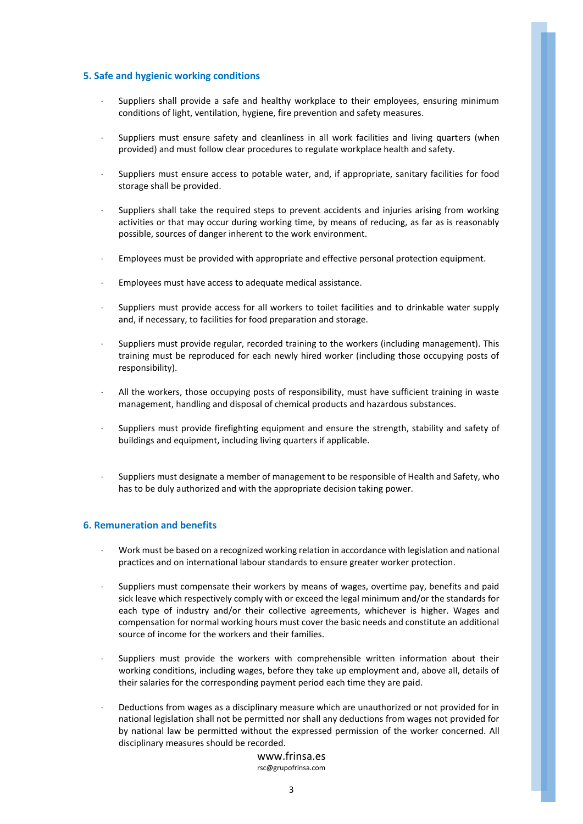## **5. Safe and hygienic working conditions**

- Suppliers shall provide a safe and healthy workplace to their employees, ensuring minimum conditions of light, ventilation, hygiene, fire prevention and safety measures.
- Suppliers must ensure safety and cleanliness in all work facilities and living quarters (when provided) and must follow clear procedures to regulate workplace health and safety.
- Suppliers must ensure access to potable water, and, if appropriate, sanitary facilities for food storage shall be provided.
- Suppliers shall take the required steps to prevent accidents and injuries arising from working activities or that may occur during working time, by means of reducing, as far as is reasonably possible, sources of danger inherent to the work environment.
- Employees must be provided with appropriate and effective personal protection equipment.
- Employees must have access to adequate medical assistance.
- Suppliers must provide access for all workers to toilet facilities and to drinkable water supply and, if necessary, to facilities for food preparation and storage.
- Suppliers must provide regular, recorded training to the workers (including management). This training must be reproduced for each newly hired worker (including those occupying posts of responsibility).
- All the workers, those occupying posts of responsibility, must have sufficient training in waste management, handling and disposal of chemical products and hazardous substances.
- Suppliers must provide firefighting equipment and ensure the strength, stability and safety of buildings and equipment, including living quarters if applicable.
- Suppliers must designate a member of management to be responsible of Health and Safety, who has to be duly authorized and with the appropriate decision taking power.

#### **6. Remuneration and benefits**

- Work must be based on a recognized working relation in accordance with legislation and national practices and on international labour standards to ensure greater worker protection.
- Suppliers must compensate their workers by means of wages, overtime pay, benefits and paid sick leave which respectively comply with or exceed the legal minimum and/or the standards for each type of industry and/or their collective agreements, whichever is higher. Wages and compensation for normal working hours must cover the basic needs and constitute an additional source of income for the workers and their families.
- Suppliers must provide the workers with comprehensible written information about their working conditions, including wages, before they take up employment and, above all, details of their salaries for the corresponding payment period each time they are paid.
- Deductions from wages as a disciplinary measure which are unauthorized or not provided for in national legislation shall not be permitted nor shall any deductions from wages not provided for by national law be permitted without the expressed permission of the worker concerned. All disciplinary measures should be recorded.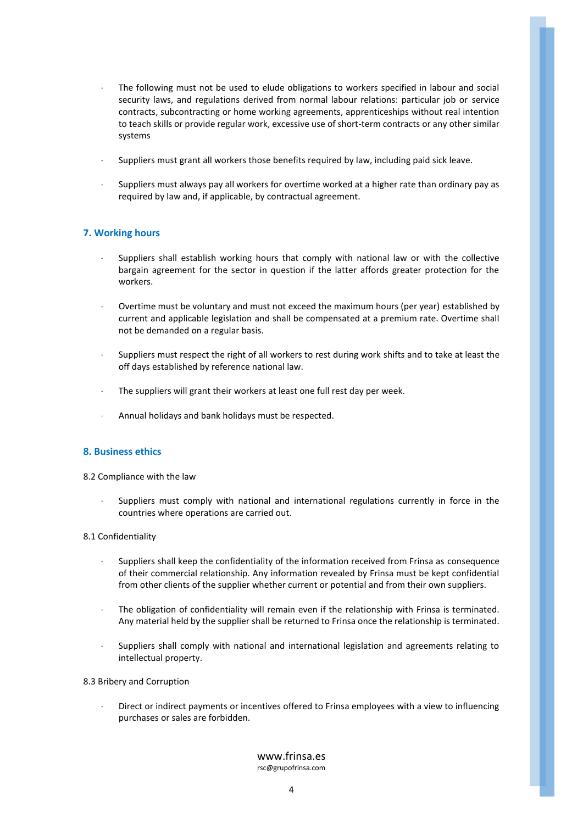- The following must not be used to elude obligations to workers specified in labour and social security laws, and regulations derived from normal labour relations: particular job or service contracts, subcontracting or home working agreements, apprenticeships without real intention to teach skills or provide regular work, excessive use of short-term contracts or any other similar systems
- Suppliers must grant all workers those benefits required by law, including paid sick leave.
- Suppliers must always pay all workers for overtime worked at a higher rate than ordinary pay as required by law and, if applicable, by contractual agreement.

## **7. Working hours**

- Suppliers shall establish working hours that comply with national law or with the collective bargain agreement for the sector in question if the latter affords greater protection for the workers.
- Overtime must be voluntary and must not exceed the maximum hours (per year) established by current and applicable legislation and shall be compensated at a premium rate. Overtime shall not be demanded on a regular basis.
- Suppliers must respect the right of all workers to rest during work shifts and to take at least the off days established by reference national law.
- The suppliers will grant their workers at least one full rest day per week.
- Annual holidays and bank holidays must be respected.

## **8. Business ethics**

8.2 Compliance with the law

 Suppliers must comply with national and international regulations currently in force in the countries where operations are carried out.

#### 8.1 Confidentiality

- Suppliers shall keep the confidentiality of the information received from Frinsa as consequence of their commercial relationship. Any information revealed by Frinsa must be kept confidential from other clients of the supplier whether current or potential and from their own suppliers.
- The obligation of confidentiality will remain even if the relationship with Frinsa is terminated. Any material held by the supplier shall be returned to Frinsa once the relationship is terminated.
- Suppliers shall comply with national and international legislation and agreements relating to intellectual property.
- 8.3 Bribery and Corruption
	- Direct or indirect payments or incentives offered to Frinsa employees with a view to influencing purchases or sales are forbidden.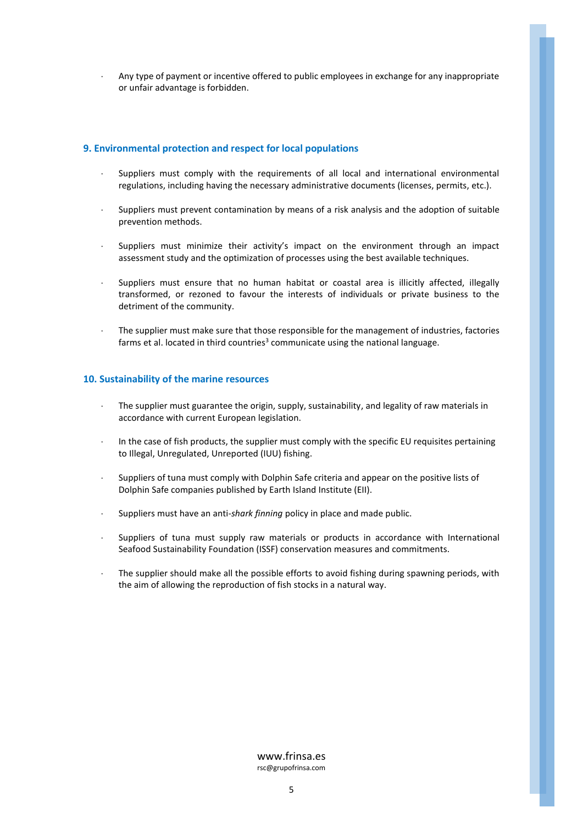Any type of payment or incentive offered to public employees in exchange for any inappropriate or unfair advantage is forbidden.

## **9. Environmental protection and respect for local populations**

- Suppliers must comply with the requirements of all local and international environmental regulations, including having the necessary administrative documents (licenses, permits, etc.).
- Suppliers must prevent contamination by means of a risk analysis and the adoption of suitable prevention methods.
- Suppliers must minimize their activity's impact on the environment through an impact assessment study and the optimization of processes using the best available techniques.
- Suppliers must ensure that no human habitat or coastal area is illicitly affected, illegally transformed, or rezoned to favour the interests of individuals or private business to the detriment of the community.
- The supplier must make sure that those responsible for the management of industries, factories farms et al. located in third countries<sup>3</sup> communicate using the national language.

## **10. Sustainability of the marine resources**

- The supplier must guarantee the origin, supply, sustainability, and legality of raw materials in accordance with current European legislation.
- In the case of fish products, the supplier must comply with the specific EU requisites pertaining to Illegal, Unregulated, Unreported (IUU) fishing.
- Suppliers of tuna must comply with Dolphin Safe criteria and appear on the positive lists of Dolphin Safe companies published by Earth Island Institute (EII).
- Suppliers must have an anti-*shark finning* policy in place and made public.
- Suppliers of tuna must supply raw materials or products in accordance with International Seafood Sustainability Foundation (ISSF) conservation measures and commitments.
- The supplier should make all the possible efforts to avoid fishing during spawning periods, with the aim of allowing the reproduction of fish stocks in a natural way.